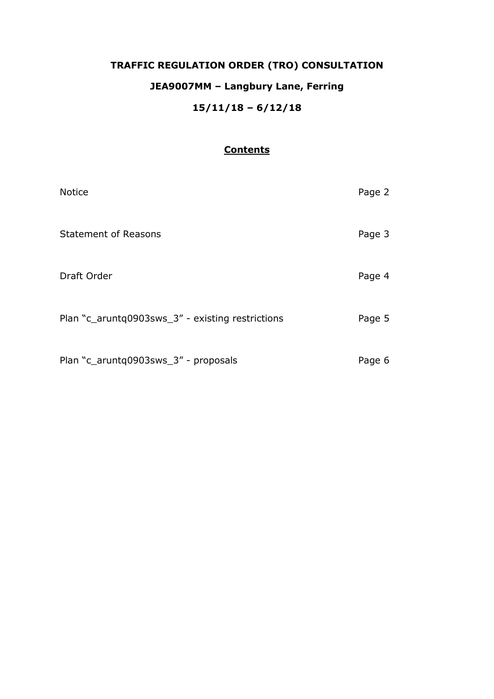# **TRAFFIC REGULATION ORDER (TRO) CONSULTATION JEA9007MM – Langbury Lane, Ferring 15/11/18 – 6/12/18**

## **Contents**

| <b>Notice</b>                                    | Page 2 |
|--------------------------------------------------|--------|
| <b>Statement of Reasons</b>                      | Page 3 |
| Draft Order                                      | Page 4 |
| Plan "c_aruntq0903sws_3" - existing restrictions | Page 5 |
| Plan "c_aruntq0903sws_3" - proposals             | Page 6 |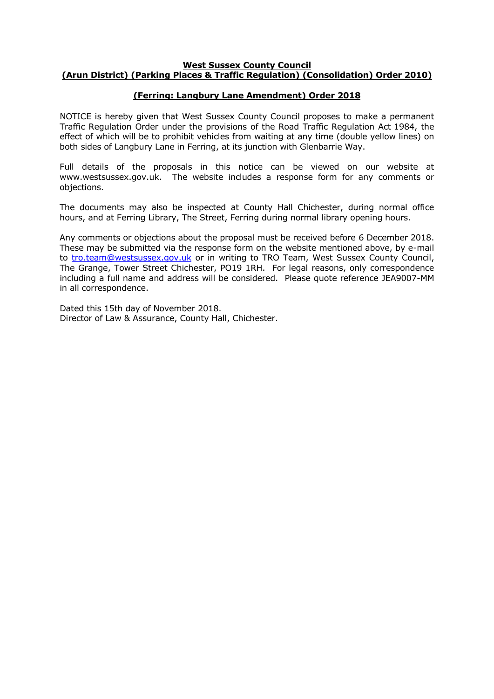#### **West Sussex County Council (Arun District) (Parking Places & Traffic Regulation) (Consolidation) Order 2010)**

## **(Ferring: Langbury Lane Amendment) Order 2018**

NOTICE is hereby given that West Sussex County Council proposes to make a permanent Traffic Regulation Order under the provisions of the Road Traffic Regulation Act 1984, the effect of which will be to prohibit vehicles from waiting at any time (double yellow lines) on both sides of Langbury Lane in Ferring, at its junction with Glenbarrie Way.

Full details of the proposals in this notice can be viewed on our website at www.westsussex.gov.uk. The website includes a response form for any comments or objections.

The documents may also be inspected at County Hall Chichester, during normal office hours, and at Ferring Library, The Street, Ferring during normal library opening hours.

Any comments or objections about the proposal must be received before 6 December 2018. These may be submitted via the response form on the website mentioned above, by e-mail to [tro.team@westsussex.gov.uk](mailto:tro.team@westsussex.gov.uk) or in writing to TRO Team, West Sussex County Council, The Grange, Tower Street Chichester, PO19 1RH. For legal reasons, only correspondence including a full name and address will be considered. Please quote reference JEA9007-MM in all correspondence.

Dated this 15th day of November 2018. Director of Law & Assurance, County Hall, Chichester.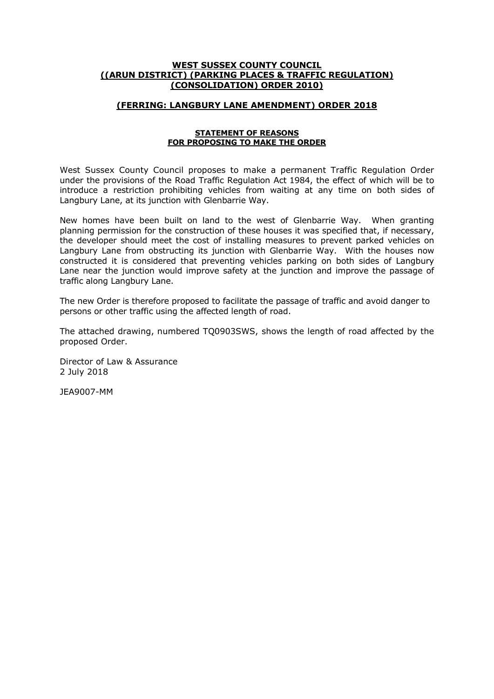#### **WEST SUSSEX COUNTY COUNCIL ((ARUN DISTRICT) (PARKING PLACES & TRAFFIC REGULATION) (CONSOLIDATION) ORDER 2010)**

#### **(FERRING: LANGBURY LANE AMENDMENT) ORDER 2018**

#### **STATEMENT OF REASONS FOR PROPOSING TO MAKE THE ORDER**

West Sussex County Council proposes to make a permanent Traffic Regulation Order under the provisions of the Road Traffic Regulation Act 1984, the effect of which will be to introduce a restriction prohibiting vehicles from waiting at any time on both sides of Langbury Lane, at its junction with Glenbarrie Way.

New homes have been built on land to the west of Glenbarrie Way. When granting planning permission for the construction of these houses it was specified that, if necessary, the developer should meet the cost of installing measures to prevent parked vehicles on Langbury Lane from obstructing its junction with Glenbarrie Way. With the houses now constructed it is considered that preventing vehicles parking on both sides of Langbury Lane near the junction would improve safety at the junction and improve the passage of traffic along Langbury Lane.

The new Order is therefore proposed to facilitate the passage of traffic and avoid danger to persons or other traffic using the affected length of road.

The attached drawing, numbered TQ0903SWS, shows the length of road affected by the proposed Order.

Director of Law & Assurance 2 July 2018

JEA9007-MM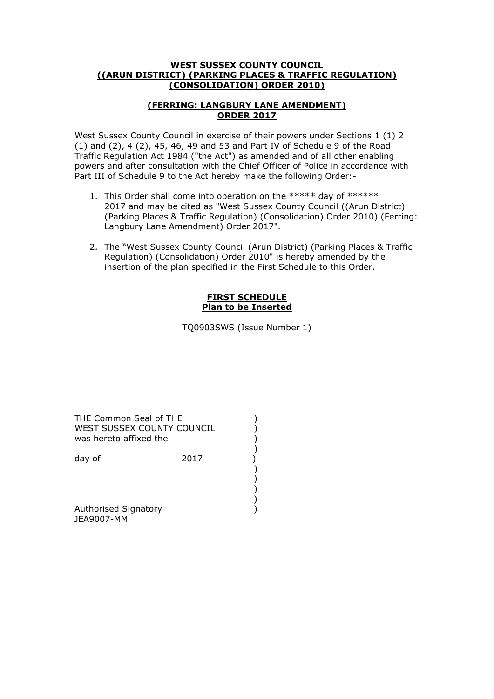#### **WEST SUSSEX COUNTY COUNCIL ((ARUN DISTRICT) (PARKING PLACES & TRAFFIC REGULATION) (CONSOLIDATION) ORDER 2010)**

## **(FERRING: LANGBURY LANE AMENDMENT) ORDER 2017**

West Sussex County Council in exercise of their powers under Sections 1 (1) 2 (1) and (2), 4 (2), 45, 46, 49 and 53 and Part IV of Schedule 9 of the Road Traffic Regulation Act 1984 ("the Act") as amended and of all other enabling powers and after consultation with the Chief Officer of Police in accordance with Part III of Schedule 9 to the Act hereby make the following Order:-

- 1. This Order shall come into operation on the \*\*\*\*\* day of \*\*\*\*\*\* 2017 and may be cited as "West Sussex County Council ((Arun District) (Parking Places & Traffic Regulation) (Consolidation) Order 2010) (Ferring: Langbury Lane Amendment) Order 2017".
- 2. The "West Sussex County Council (Arun District) (Parking Places & Traffic Regulation) (Consolidation) Order 2010" is hereby amended by the insertion of the plan specified in the First Schedule to this Order.

### **FIRST SCHEDULE Plan to be Inserted**

TQ0903SWS (Issue Number 1)

THE Common Seal of THE ) WEST SUSSEX COUNTY COUNCIL<br>
was hereto affixed the<br>
()<br>
day of 2017<br>
()<br>
()<br>
()<br>
() was hereto affixed the

 ) ) )

 ) day of 2017

 ) Authorised Signatory (1999) JEA9007-MM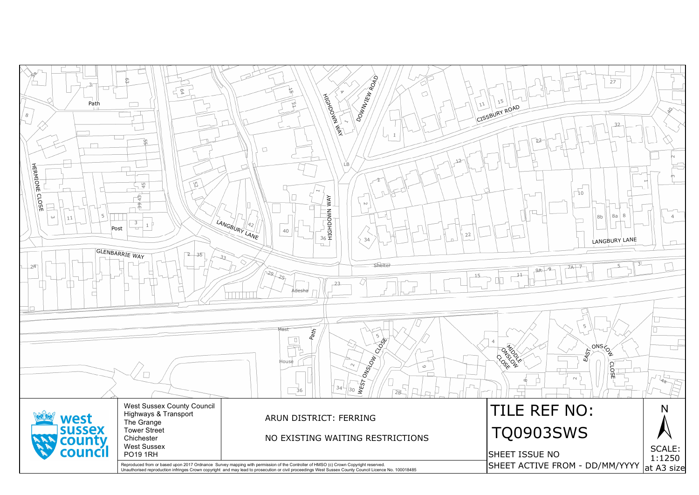